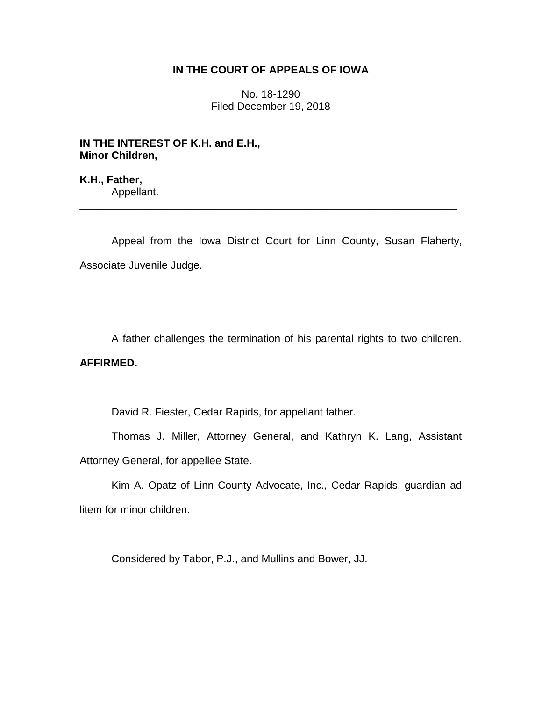## **IN THE COURT OF APPEALS OF IOWA**

No. 18-1290 Filed December 19, 2018

**IN THE INTEREST OF K.H. and E.H., Minor Children,**

**K.H., Father,** Appellant.

Appeal from the Iowa District Court for Linn County, Susan Flaherty, Associate Juvenile Judge.

\_\_\_\_\_\_\_\_\_\_\_\_\_\_\_\_\_\_\_\_\_\_\_\_\_\_\_\_\_\_\_\_\_\_\_\_\_\_\_\_\_\_\_\_\_\_\_\_\_\_\_\_\_\_\_\_\_\_\_\_\_\_\_\_

A father challenges the termination of his parental rights to two children.

### **AFFIRMED.**

David R. Fiester, Cedar Rapids, for appellant father.

Thomas J. Miller, Attorney General, and Kathryn K. Lang, Assistant Attorney General, for appellee State.

Kim A. Opatz of Linn County Advocate, Inc., Cedar Rapids, guardian ad litem for minor children.

Considered by Tabor, P.J., and Mullins and Bower, JJ.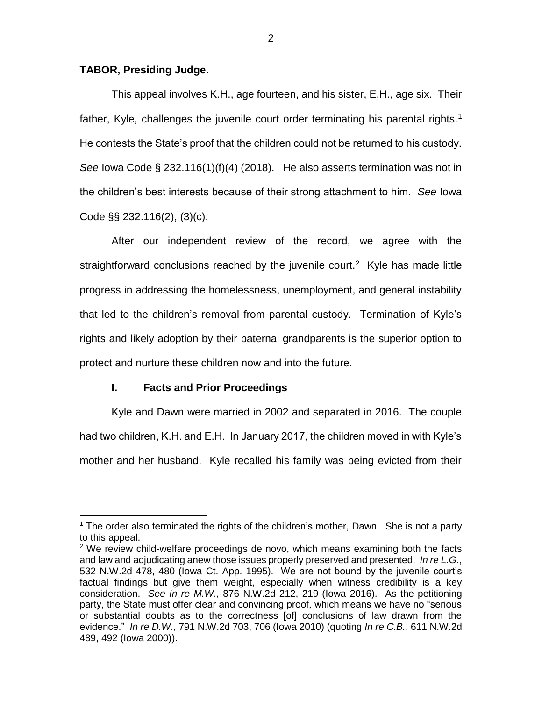### **TABOR, Presiding Judge.**

This appeal involves K.H., age fourteen, and his sister, E.H., age six. Their father, Kyle, challenges the juvenile court order terminating his parental rights.<sup>1</sup> He contests the State's proof that the children could not be returned to his custody. *See* Iowa Code § 232.116(1)(f)(4) (2018). He also asserts termination was not in the children's best interests because of their strong attachment to him. *See* Iowa Code §§ 232.116(2), (3)(c).

After our independent review of the record, we agree with the straightforward conclusions reached by the juvenile court.<sup>2</sup> Kyle has made little progress in addressing the homelessness, unemployment, and general instability that led to the children's removal from parental custody. Termination of Kyle's rights and likely adoption by their paternal grandparents is the superior option to protect and nurture these children now and into the future.

## **I. Facts and Prior Proceedings**

 $\overline{a}$ 

Kyle and Dawn were married in 2002 and separated in 2016. The couple had two children, K.H. and E.H. In January 2017, the children moved in with Kyle's mother and her husband. Kyle recalled his family was being evicted from their

<sup>&</sup>lt;sup>1</sup> The order also terminated the rights of the children's mother, Dawn. She is not a party to this appeal.

 $2$  We review child-welfare proceedings de novo, which means examining both the facts and law and adjudicating anew those issues properly preserved and presented. *In re L.G.*, 532 N.W.2d 478, 480 (Iowa Ct. App. 1995). We are not bound by the juvenile court's factual findings but give them weight, especially when witness credibility is a key consideration. *See In re M.W.*, 876 N.W.2d 212, 219 (Iowa 2016). As the petitioning party, the State must offer clear and convincing proof, which means we have no "serious or substantial doubts as to the correctness [of] conclusions of law drawn from the evidence." *In re D.W.*, 791 N.W.2d 703, 706 (Iowa 2010) (quoting *In re C.B.*, 611 N.W.2d 489, 492 (Iowa 2000)).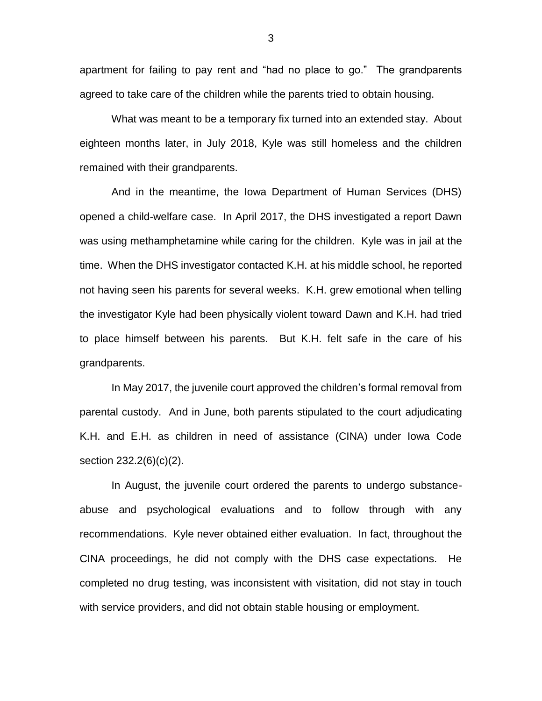apartment for failing to pay rent and "had no place to go." The grandparents agreed to take care of the children while the parents tried to obtain housing.

What was meant to be a temporary fix turned into an extended stay. About eighteen months later, in July 2018, Kyle was still homeless and the children remained with their grandparents.

And in the meantime, the Iowa Department of Human Services (DHS) opened a child-welfare case. In April 2017, the DHS investigated a report Dawn was using methamphetamine while caring for the children. Kyle was in jail at the time. When the DHS investigator contacted K.H. at his middle school, he reported not having seen his parents for several weeks. K.H. grew emotional when telling the investigator Kyle had been physically violent toward Dawn and K.H. had tried to place himself between his parents. But K.H. felt safe in the care of his grandparents.

In May 2017, the juvenile court approved the children's formal removal from parental custody. And in June, both parents stipulated to the court adjudicating K.H. and E.H. as children in need of assistance (CINA) under Iowa Code section 232.2(6)(c)(2).

In August, the juvenile court ordered the parents to undergo substanceabuse and psychological evaluations and to follow through with any recommendations. Kyle never obtained either evaluation. In fact, throughout the CINA proceedings, he did not comply with the DHS case expectations. He completed no drug testing, was inconsistent with visitation, did not stay in touch with service providers, and did not obtain stable housing or employment.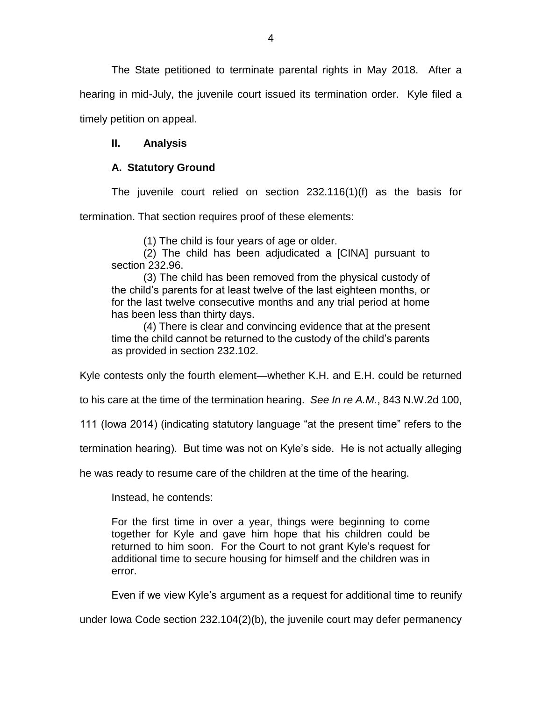The State petitioned to terminate parental rights in May 2018. After a hearing in mid-July, the juvenile court issued its termination order. Kyle filed a timely petition on appeal.

## **II. Analysis**

# **A. Statutory Ground**

The juvenile court relied on section 232.116(1)(f) as the basis for termination. That section requires proof of these elements:

(1) The child is four years of age or older.

(2) The child has been adjudicated a [CINA] pursuant to section 232.96.

(3) The child has been removed from the physical custody of the child's parents for at least twelve of the last eighteen months, or for the last twelve consecutive months and any trial period at home has been less than thirty days.

(4) There is clear and convincing evidence that at the present time the child cannot be returned to the custody of the child's parents as provided in section 232.102.

Kyle contests only the fourth element—whether K.H. and E.H. could be returned

to his care at the time of the termination hearing. *See In re A.M.*, 843 N.W.2d 100,

111 (Iowa 2014) (indicating statutory language "at the present time" refers to the

termination hearing). But time was not on Kyle's side. He is not actually alleging

he was ready to resume care of the children at the time of the hearing.

Instead, he contends:

For the first time in over a year, things were beginning to come together for Kyle and gave him hope that his children could be returned to him soon. For the Court to not grant Kyle's request for additional time to secure housing for himself and the children was in error.

Even if we view Kyle's argument as a request for additional time to reunify

under Iowa Code section 232.104(2)(b), the juvenile court may defer permanency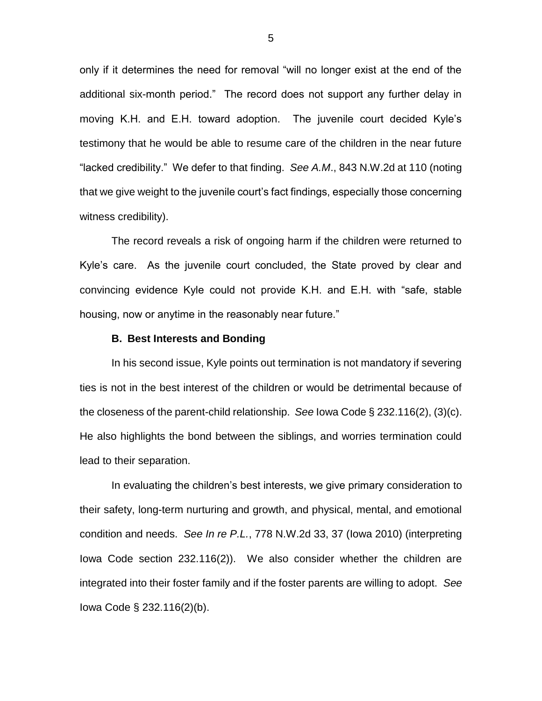only if it determines the need for removal "will no longer exist at the end of the additional six-month period." The record does not support any further delay in moving K.H. and E.H. toward adoption. The juvenile court decided Kyle's testimony that he would be able to resume care of the children in the near future "lacked credibility." We defer to that finding. *See A.M*., 843 N.W.2d at 110 (noting that we give weight to the juvenile court's fact findings, especially those concerning witness credibility).

The record reveals a risk of ongoing harm if the children were returned to Kyle's care. As the juvenile court concluded, the State proved by clear and convincing evidence Kyle could not provide K.H. and E.H. with "safe, stable housing, now or anytime in the reasonably near future."

### **B. Best Interests and Bonding**

In his second issue, Kyle points out termination is not mandatory if severing ties is not in the best interest of the children or would be detrimental because of the closeness of the parent-child relationship. *See* Iowa Code § 232.116(2), (3)(c). He also highlights the bond between the siblings, and worries termination could lead to their separation.

In evaluating the children's best interests, we give primary consideration to their safety, long-term nurturing and growth, and physical, mental, and emotional condition and needs. *See In re P.L.*, 778 N.W.2d 33, 37 (Iowa 2010) (interpreting Iowa Code section 232.116(2)). We also consider whether the children are integrated into their foster family and if the foster parents are willing to adopt. *See* Iowa Code § 232.116(2)(b).